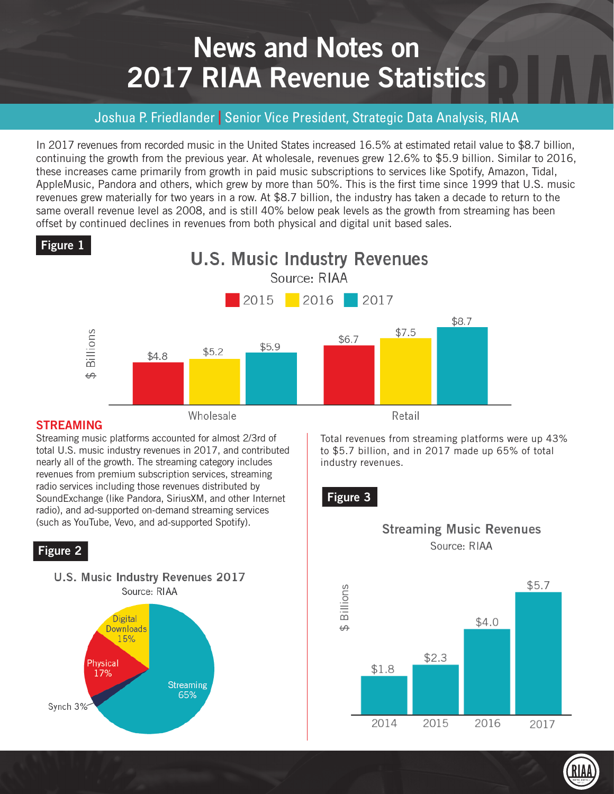# **News and Notes on 2017 RIAA Revenue Statistics**

# Joshua P. Friedlander **|** Senior Vice President, Strategic Data Analysis, RIAA

In 2017 revenues from recorded music in the United States increased 16.5% at estimated retail value to \$8.7 billion, continuing the growth from the previous year. At wholesale, revenues grew 12.6% to \$5.9 billion. Similar to 2016, these increases came primarily from growth in paid music subscriptions to services like Spotify, Amazon, Tidal, AppleMusic, Pandora and others, which grew by more than 50%. This is the first time since 1999 that U.S. music revenues grew materially for two years in a row. At \$8.7 billion, the industry has taken a decade to return to the same overall revenue level as 2008, and is still 40% below peak levels as the growth from streaming has been offset by continued declines in revenues from both physical and digital unit based sales.



#### **STREAMING**

Streaming music platforms accounted for almost 2/3rd of total U.S. music industry revenues in 2017, and contributed nearly all of the growth. The streaming category includes revenues from premium subscription services, streaming radio services including those revenues distributed by SoundExchange (like Pandora, SiriusXM, and other Internet radio), and ad-supported on-demand streaming services (such as YouTube, Vevo, and ad-supported Spotify).

# **Figure 2**

Synch 3%



**Streaming** 65%

17%

Retail

Total revenues from streaming platforms were up 43% to \$5.7 billion, and in 2017 made up 65% of total industry revenues.

# **Figure 3**





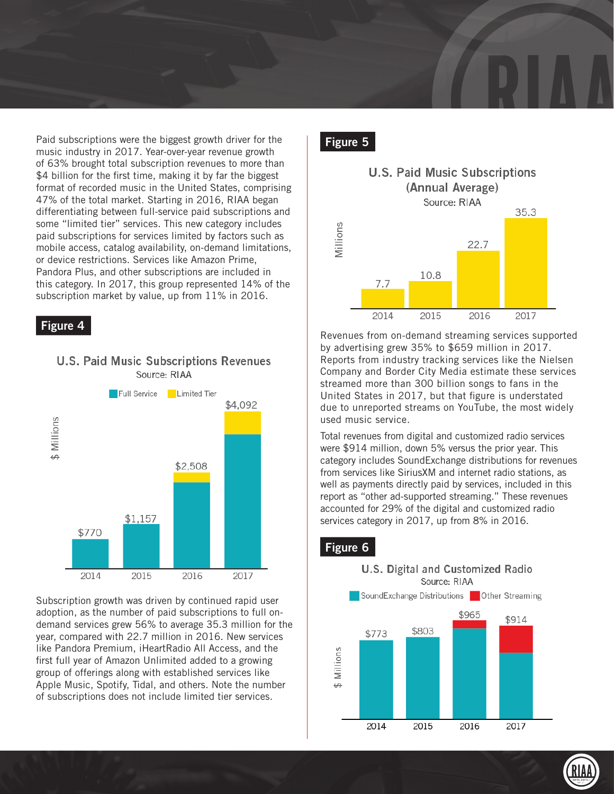Paid subscriptions were the biggest growth driver for the music industry in 2017. Year-over-year revenue growth of 63% brought total subscription revenues to more than \$4 billion for the first time, making it by far the biggest format of recorded music in the United States, comprising 47% of the total market. Starting in 2016, RIAA began differentiating between full-service paid subscriptions and some "limited tier" services. This new category includes paid subscriptions for services limited by factors such as mobile access, catalog availability, on-demand limitations, or device restrictions. Services like Amazon Prime, Pandora Plus, and other subscriptions are included in this category. In 2017, this group represented 14% of the subscription market by value, up from 11% in 2016.

#### **Figure 4**

#### **U.S. Paid Music Subscriptions Revenues** Source: RIAA



Subscription growth was driven by continued rapid user adoption, as the number of paid subscriptions to full ondemand services grew 56% to average 35.3 million for the year, compared with 22.7 million in 2016. New services like Pandora Premium, iHeartRadio All Access, and the first full year of Amazon Unlimited added to a growing group of offerings along with established services like Apple Music, Spotify, Tidal, and others. Note the number of subscriptions does not include limited tier services.

# **Figure 5**



Revenues from on-demand streaming services supported by advertising grew 35% to \$659 million in 2017. Reports from industry tracking services like the Nielsen Company and Border City Media estimate these services streamed more than 300 billion songs to fans in the United States in 2017, but that figure is understated due to unreported streams on YouTube, the most widely used music service.

Total revenues from digital and customized radio services were \$914 million, down 5% versus the prior year. This category includes SoundExchange distributions for revenues from services like SiriusXM and internet radio stations, as well as payments directly paid by services, included in this report as "other ad-supported streaming." These revenues accounted for 29% of the digital and customized radio services category in 2017, up from 8% in 2016.





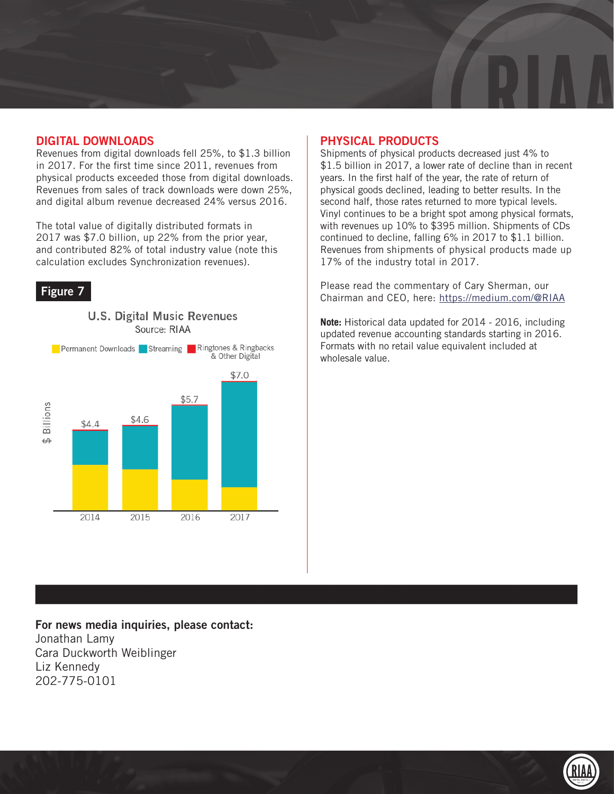#### **DIGITAL DOWNLOADS**

Revenues from digital downloads fell 25%, to \$1.3 billion in 2017. For the first time since 2011, revenues from physical products exceeded those from digital downloads. Revenues from sales of track downloads were down 25%, and digital album revenue decreased 24% versus 2016.

The total value of digitally distributed formats in 2017 was \$7.0 billion, up 22% from the prior year, and contributed 82% of total industry value (note this calculation excludes Synchronization revenues).

#### **Figure 7**



#### **PHYSICAL PRODUCTS**

Shipments of physical products decreased just 4% to \$1.5 billion in 2017, a lower rate of decline than in recent years. In the first half of the year, the rate of return of physical goods declined, leading to better results. In the second half, those rates returned to more typical levels. Vinyl continues to be a bright spot among physical formats, with revenues up 10% to \$395 million. Shipments of CDs continued to decline, falling 6% in 2017 to \$1.1 billion. Revenues from shipments of physical products made up 17% of the industry total in 2017.

Please read the commentary of Cary Sherman, our Chairman and CEO, here:<https://medium.com/@RIAA>

**Note:** Historical data updated for 2014 - 2016, including updated revenue accounting standards starting in 2016. Formats with no retail value equivalent included at wholesale value.

**For news media inquiries, please contact:**  Jonathan Lamy Cara Duckworth Weiblinger Liz Kennedy 202-775-0101